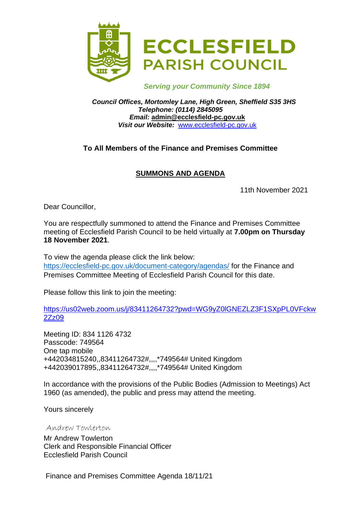

 *Serving your Community Since 1894*

*Council Offices, Mortomley Lane, High Green, Sheffield S35 3HS Telephone: (0114) 2845095 Email:* **admin@ecclesfield-pc.gov.uk** *Visit our Website:* [www.ecclesfield-pc.gov.uk](http://www.ecclesfield-pc.gov.uk/)

## **To All Members of the Finance and Premises Committee**

# **SUMMONS AND AGENDA**

11th November 2021

Dear Councillor,

You are respectfully summoned to attend the Finance and Premises Committee meeting of Ecclesfield Parish Council to be held virtually at **7.00pm on Thursday 18 November 2021**.

To view the agenda please click the link below: <https://ecclesfield-pc.gov.uk/document-category/agendas/> for the Finance and Premises Committee Meeting of Ecclesfield Parish Council for this date.

Please follow this link to join the meeting:

[https://us02web.zoom.us/j/83411264732?pwd=WG9yZ0lGNEZLZ3F1SXpPL0VFckw](https://us02web.zoom.us/j/83411264732?pwd=WG9yZ0lGNEZLZ3F1SXpPL0VFckw2Zz09) [2Zz09](https://us02web.zoom.us/j/83411264732?pwd=WG9yZ0lGNEZLZ3F1SXpPL0VFckw2Zz09)

Meeting ID: 834 1126 4732 Passcode: 749564 One tap mobile +442034815240,,83411264732#,,,,\*749564# United Kingdom +442039017895,,83411264732#,,,,\*749564# United Kingdom

In accordance with the provisions of the Public Bodies (Admission to Meetings) Act 1960 (as amended), the public and press may attend the meeting.

Yours sincerely

Andrew Towlerton

Mr Andrew Towlerton Clerk and Responsible Financial Officer Ecclesfield Parish Council

Finance and Premises Committee Agenda 18/11/21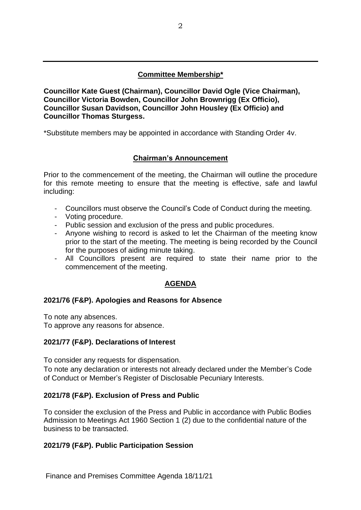## **Committee Membership\***

**Councillor Kate Guest (Chairman), Councillor David Ogle (Vice Chairman), Councillor Victoria Bowden, Councillor John Brownrigg (Ex Officio), Councillor Susan Davidson, Councillor John Housley (Ex Officio) and Councillor Thomas Sturgess.**

\*Substitute members may be appointed in accordance with Standing Order 4v.

#### **Chairman's Announcement**

Prior to the commencement of the meeting, the Chairman will outline the procedure for this remote meeting to ensure that the meeting is effective, safe and lawful including:

- Councillors must observe the Council's Code of Conduct during the meeting.
- Voting procedure.
- Public session and exclusion of the press and public procedures.
- Anyone wishing to record is asked to let the Chairman of the meeting know prior to the start of the meeting. The meeting is being recorded by the Council for the purposes of aiding minute taking.
- All Councillors present are required to state their name prior to the commencement of the meeting.

#### **AGENDA**

#### **2021/76 (F&P). Apologies and Reasons for Absence**

To note any absences. To approve any reasons for absence.

#### **2021/77 (F&P). Declarations of Interest**

To consider any requests for dispensation.

To note any declaration or interests not already declared under the Member's Code of Conduct or Member's Register of Disclosable Pecuniary Interests.

#### **2021/78 (F&P). Exclusion of Press and Public**

To consider the exclusion of the Press and Public in accordance with Public Bodies Admission to Meetings Act 1960 Section 1 (2) due to the confidential nature of the business to be transacted.

#### **2021/79 (F&P). Public Participation Session**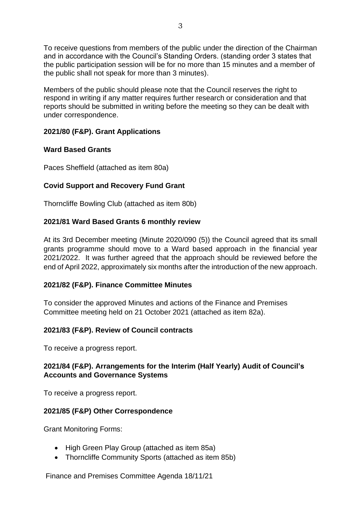To receive questions from members of the public under the direction of the Chairman and in accordance with the Council's Standing Orders. (standing order 3 states that the public participation session will be for no more than 15 minutes and a member of the public shall not speak for more than 3 minutes).

Members of the public should please note that the Council reserves the right to respond in writing if any matter requires further research or consideration and that reports should be submitted in writing before the meeting so they can be dealt with under correspondence.

## **2021/80 (F&P). Grant Applications**

## **Ward Based Grants**

Paces Sheffield (attached as item 80a)

# **Covid Support and Recovery Fund Grant**

Thorncliffe Bowling Club (attached as item 80b)

## **2021/81 Ward Based Grants 6 monthly review**

At its 3rd December meeting (Minute 2020/090 (5)) the Council agreed that its small grants programme should move to a Ward based approach in the financial year 2021/2022. It was further agreed that the approach should be reviewed before the end of April 2022, approximately six months after the introduction of the new approach.

## **2021/82 (F&P). Finance Committee Minutes**

To consider the approved Minutes and actions of the Finance and Premises Committee meeting held on 21 October 2021 (attached as item 82a).

#### **2021/83 (F&P). Review of Council contracts**

To receive a progress report.

#### **2021/84 (F&P). Arrangements for the Interim (Half Yearly) Audit of Council's Accounts and Governance Systems**

To receive a progress report.

#### **2021/85 (F&P) Other Correspondence**

Grant Monitoring Forms:

- High Green Play Group (attached as item 85a)
- Thorncliffe Community Sports (attached as item 85b)

Finance and Premises Committee Agenda 18/11/21